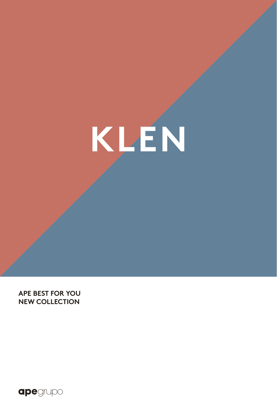**KLEN**

**APE BEST FOR YOU NEW COLLECTION**

apegrupo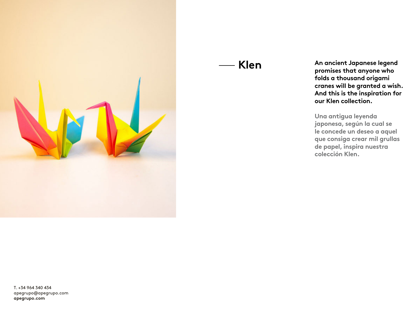

### — **Klen**

**An ancient Japanese legend promises that anyone who folds a thousand origami cranes will be granted a wish. And this is the inspiration for our Klen collection.** 

**Una antigua leyenda japonesa, según la cual se le concede un deseo a aquel que consiga crear mil grullas de papel, inspira nuestra colección Klen.** 

T. +34 964 340 434 apegrupo@apegrupo.com **apegrupo.com**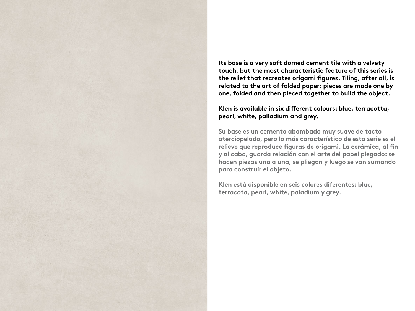**Its base is a very soft domed cement tile with a velvety touch, but the most characteristic feature of this series is**  the relief that recreates origami figures. Tiling, after all, is **related to the art of folded paper: pieces are made one by one, folded and then pieced together to build the object.**

### Klen is available in six different colours: blue, terracotta, **pearl, white, palladium and grey.**

**Su base es un cemento abombado muy suave de tacto aterciopelado, pero lo más característico de esta serie es el**  relieve que reproduce figuras de origami. La cerámica, al fin **y al cabo, guarda relación con el arte del papel plegado: se hacen piezas una a una, se pliegan y luego se van sumando para construir el objeto.** 

**Klen está disponible en seis colores diferentes: blue, terracota, pearl, white, paladium y grey.**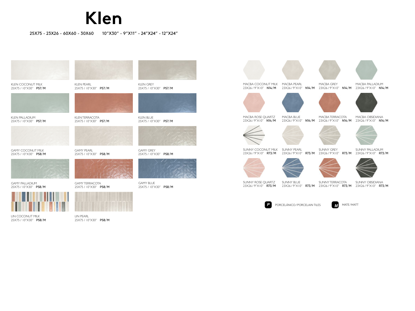# **Klen**

25X75 - 23X26 - 60X60 - 30X60 10"X30" - 9"X11" - 24"X24" - 12"X24"





KLEN COCONUT MILK 25X75 / 10"X30" P57/M

KLEN PALLADIUM 25X75 / 10"X30" P57/M





KLEN TERRACOTA 25X75 / 10"X30" P57/M



GAMY COCONUT MILK 25X75 / 10"X30" P58/M

GAMY PEARL 25X75 / 10"X30" P58/M



GAMY PALLADIUM 25X75 / 10"X30" P58/M



LIN COCONUT MILK 25X75 / 10"X30" P58/M



KLEN GREY 25X75 / 10"X30" P57/M



KLEN BLUE 25X75 / 10"X30" P57/M



GAMY GREY 25X75 / 10"X30" P58/M



GAMY BLUE 25X75 / 10"X30" P58/M MACBA COCONUT MILK MACBA PEARL 23X26 / 9"X10" N14/M 23X26 / 9"X10" N14/M 23X26 / 9"X10" N14/M 23X26 / 9"X10" N14/M









MACBA GREY



MACBA PALLADIUM

MACBA ROSE QUARTZ 23X26/9"X10" N14/M

MACBA BLUE

MACBA OBSIDIANA 23X26 / 9"X10" N14/M 23X26 / 9"X10" N14/M 23X26 / 9"X10" N14/M MACBA TERRACOTA





SUNNY COCONUT MILK SUNNY PEARL 23X26 / 9"X10" R73/M

SUNNY GREY

SUNNY PALLADIUM 23X26 / 9"X10" R73/M 23X26 / 9"X10" R73/M 23X26 / 9"X10" R73/M







SUNNY ROSE QUARTZ 23X26 / 9"X10" R73/M

SUNNY TERRACOTA SUNNY BLUE

SUNNY OBSIDIANA 23X26 / 9"X10" R73/M 23X26 / 9"X10" R73/M 23X26 / 9"X10" R73/M



LIN PEARL 25X75 / 10"X30" P58/M

GAMY TERRACOTA 25X75 / 10"X30" P58/M

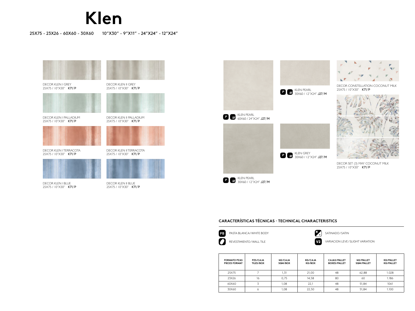# **Klen**

#### 25X75 - 23X26 - 60X60 - 30X60 10"X30" - 9"X11" - 24"X24" - 12"X24"



DECOR KLEN I BLUE 25X75 / 10"X30" K71/P







DECOR CONSTELLATION COCONUT MILK 25X75 / 10"X30" K71/P

KLEN PEARL<br>30X60 / I2''X24'' **J27/M** 





DECOR SET (3) MAY COCONUT MILK 25X75 / 10"X30" K71/P

#### **CARACTERÍSTICAS TÉCNICAS · TECHNICAL CHARACTERISTICS**

| B | PASTA BLANCA/WH  |
|---|------------------|
|   | REVESTIMIENTO/WA |

HITE BODY  $\left(\begin{array}{cc} \star & \star \\ \star & \star \end{array}\right)$  satinado / satin

ALL TILE **ALL TILE ACCOMPT OF A REVELOP** VARIACION LEVE / SLIGHT VARIATION

| <b>FORMATO PZAS</b><br><b>PIECES FORMAT</b> | PZS/CAJA<br><b>TILES/BOX</b> | M <sub>2</sub> /CAJA<br>SQM/BOX | <b>KG/CAJA</b><br>KG/BOX | CAJAS/PALLET<br><b>BOXES/PALLET</b> | M2/PALLET<br>SQM/PALLET | <b>KG/PALLET</b><br><b>KG/PALLET</b> |
|---------------------------------------------|------------------------------|---------------------------------|--------------------------|-------------------------------------|-------------------------|--------------------------------------|
| 25X75                                       |                              | 1,31                            | 21.00                    | 48                                  | 62,88                   | 1.028                                |
| 23X26                                       | 16                           | 0.75                            | 14.58                    | 80                                  | 60                      | 1.186                                |
| 60X60                                       |                              | 1.08                            | 22,1                     | 48                                  | 51.84                   | 1061                                 |
| 30X60                                       | Ô                            | 0.08                            | 22.50                    | 48                                  | 51,84                   | 1.100                                |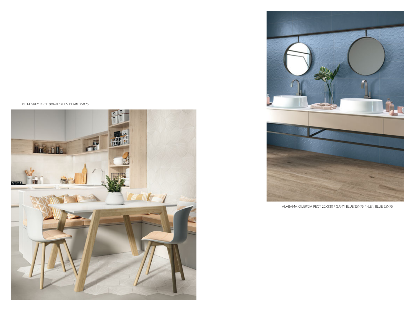KLEN GREY RECT. 60X60 / KLEN PEARL 25X75





ALABAMA QUERCIA RECT. 20X120 / GAMY BLUE 25X75 / KLEN BLUE 25X75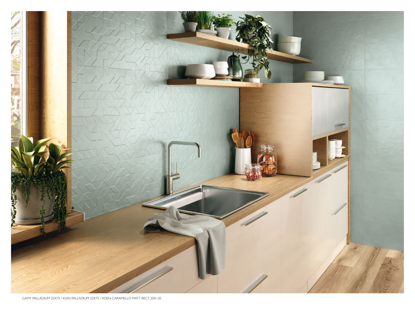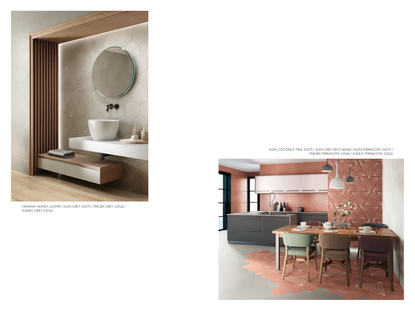

HAVANA HONEY 22,5X90 / KLEN GREY 25X75 / MACBA GREY 23X26 / SUNNY GREY 23X26

KLEN COCONUT MILK 25X75 / KLEN GREY RECT. 60X60 / KLEN TERRACOTA 25X75 / MACBA TERRACOTA 23X26 / SUNNY TERRACOTA 23X26